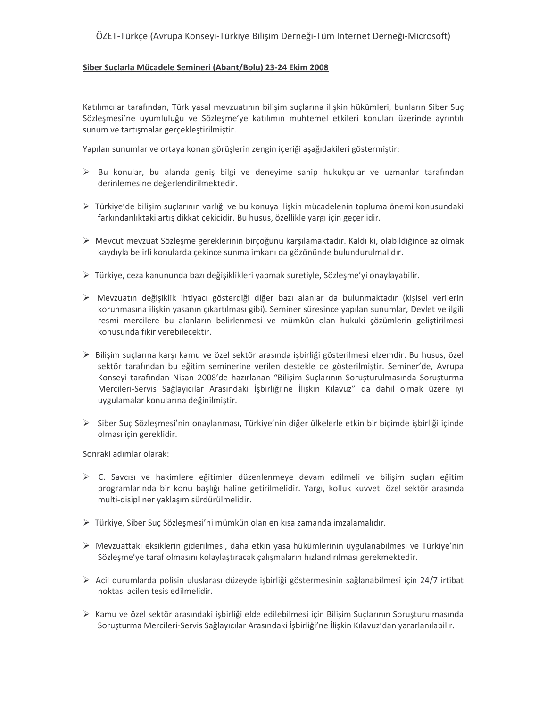## ÖZET-Türkçe (Avrupa Konseyi-Türkiye Bilişim Derneği-Tüm Internet Derneği-Microsoft)

## Siber Suçlarla Mücadele Semineri (Abant/Bolu) 23-24 Ekim 2008

Katılımcılar tarafından, Türk yasal mevzuatının bilişim suçlarına ilişkin hükümleri, bunların Siber Suç Sözleşmesi'ne uyumluluğu ve Sözleşme'ye katılımın muhtemel etkileri konuları üzerinde ayrıntılı sunum ve tartışmalar gerçekleştirilmiştir.

Yapılan sunumlar ve ortaya konan görüşlerin zengin içeriği aşağıdakileri göstermiştir:

- > Bu konular, bu alanda geniş bilgi ve deneyime sahip hukukçular ve uzmanlar tarafından derinlemesine değerlendirilmektedir.
- ≻ Türkiye'de bilişim suçlarının varlığı ve bu konuya ilişkin mücadelenin topluma önemi konusundaki farkındanlıktaki artış dikkat çekicidir. Bu husus, özellikle yargı için geçerlidir.
- ▶ Mevcut mevzuat Sözleşme gereklerinin birçoğunu karşılamaktadır. Kaldı ki, olabildiğince az olmak kaydıyla belirli konularda çekince sunma imkanı da gözönünde bulundurulmalıdır.
- > Türkiye, ceza kanununda bazı değişiklikleri yapmak suretiyle, Sözleşme'yi onaylayabilir.
- > Mevzuatın değişiklik ihtiyacı gösterdiği diğer bazı alanlar da bulunmaktadır (kişisel verilerin korunmasına ilişkin yasanın çıkartılması gibi). Seminer süresince yapılan sunumlar, Devlet ve ilgili resmi mercilere bu alanların belirlenmesi ve mümkün olan hukuki cözümlerin gelistirilmesi konusunda fikir verebilecektir.
- > Bilişim suçlarına karşı kamu ve özel sektör arasında işbirliği gösterilmesi elzemdir. Bu husus, özel sektör tarafından bu eğitim seminerine verilen destekle de gösterilmiştir. Seminer'de, Avrupa Konseyi tarafından Nisan 2008'de hazırlanan "Bilişim Suçlarının Soruşturulmasında Soruşturma Mercileri-Servis Sağlayıcılar Arasındaki İşbirliği'ne İlişkin Kılavuz" da dahil olmak üzere iyi uygulamalar konularına değinilmiştir.
- > Siber Suç Sözleşmesi'nin onaylanması, Türkiye'nin diğer ülkelerle etkin bir biçimde işbirliği içinde olması için gereklidir.

Sonraki adımlar olarak:

- > C. Savcısı ve hakimlere eğitimler düzenlenmeye devam edilmeli ve bilişim suçları eğitim programlarında bir konu başlığı haline getirilmelidir. Yargı, kolluk kuvveti özel sektör arasında multi-disipliner yaklaşım sürdürülmelidir.
- > Türkiye, Siber Suc Sözleşmesi'ni mümkün olan en kısa zamanda imzalamalıdır.
- ▶ Mevzuattaki eksiklerin giderilmesi, daha etkin yasa hükümlerinin uygulanabilmesi ve Türkiye'nin Sözlesme'ye taraf olmasını kolaylastıracak calısmaların hızlandırılması gerekmektedir.
- > Acil durumlarda polisin uluslarası düzeyde işbirliği göstermesinin sağlanabilmesi için 24/7 irtibat noktası acilen tesis edilmelidir.
- ▶ Kamu ve özel sektör arasındaki işbirliği elde edilebilmesi için Bilişim Suçlarının Soruşturulmasında Soruşturma Mercileri-Servis Sağlayıcılar Arasındaki İşbirliği'ne İlişkin Kılavuz'dan yararlanılabilir.